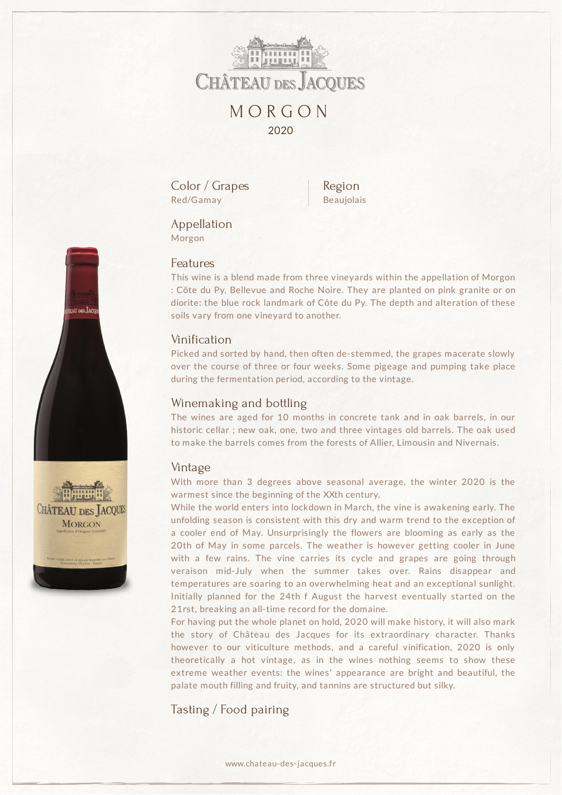

Color / Grapes Red/Gamay

Region Beaujolais

Appellation Morgon

#### Features

This wine is a blend made from three vineyards within the appellation of Morgon : Côte du Py, Bellevue and Roche Noire. They are planted on pink granite or on diorite: the blue rock landmark of Côte du Py. The depth and alteration of these soils vary from one vineyard to another.

# Vinification

Picked and sorted by hand, then often de-stemmed, the grapes macerate slowly over the course of three or four weeks. Some pigeage and pumping take place during the fermentation period, according to the vintage.

## Winemaking and bottling

The wines are aged for 10 months in concrete tank and in oak barrels, in our historic cellar ; new oak, one, two and three vintages old barrels. The oak used to make the barrels comes from the forests of Allier, Limousin and Nivernais.

## Vintage

With more than 3 degrees above seasonal average, the winter 2020 is the warmest since the beginning of the XXth century.

While the world enters into lockdown in March, the vine is awakening early. The unfolding season is consistent with this dry and warm trend to the exception of a cooler end of May. Unsurprisingly the flowers are blooming as early as the 20th of May in some parcels. The weather is however getting cooler in June with a few rains. The vine carries its cycle and grapes are going through veraison mid-July when the summer takes over. Rains disappear and temperatures are soaring to an overwhelming heat and an exceptional sunlight. Initially planned for the 24th f August the harvest eventually started on the 21rst, breaking an all-time record for the domaine.

For having put the whole planet on hold, 2020 will make history, it will also mark the story of Château des Jacques for its extraordinary character. Thanks however to our viticulture methods, and a careful vinification, 2020 is only theoretically a hot vintage, as in the wines nothing seems to show these extreme weather events: the wines' appearance are bright and beautiful, the palate mouth filling and fruity, and tannins are structured but silky.

Tasting / Food pairing